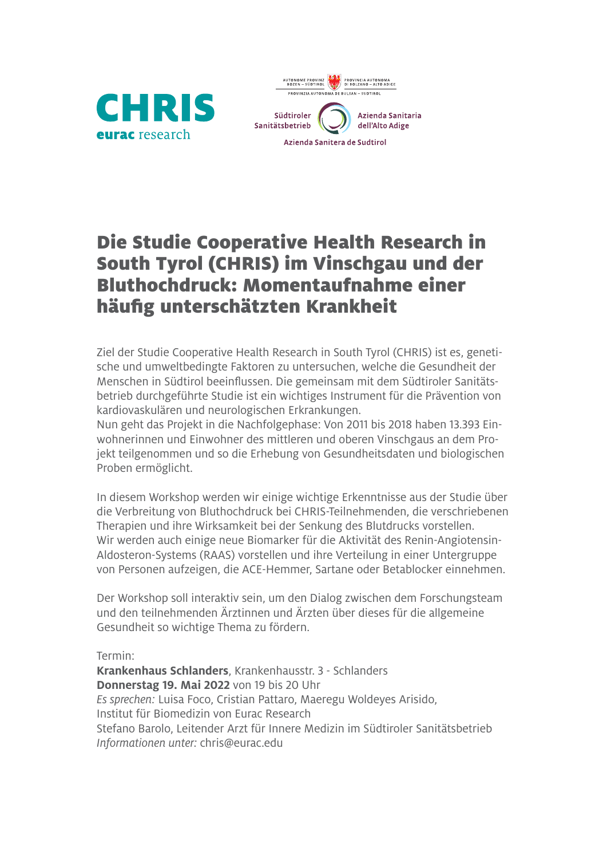



## Die Studie Cooperative Health Research in South Tyrol (CHRIS) im Vinschgau und der Bluthochdruck: Momentaufnahme einer häufig unterschätzten Krankheit

Ziel der Studie Cooperative Health Research in South Tyrol (CHRIS) ist es, genetische und umweltbedingte Faktoren zu untersuchen, welche die Gesundheit der Menschen in Südtirol beeinflussen. Die gemeinsam mit dem Südtiroler Sanitätsbetrieb durchgeführte Studie ist ein wichtiges Instrument für die Prävention von kardiovaskulären und neurologischen Erkrankungen.

Nun geht das Projekt in die Nachfolgephase: Von 2011 bis 2018 haben 13.393 Einwohnerinnen und Einwohner des mittleren und oberen Vinschgaus an dem Projekt teilgenommen und so die Erhebung von Gesundheitsdaten und biologischen Proben ermöglicht.

In diesem Workshop werden wir einige wichtige Erkenntnisse aus der Studie über die Verbreitung von Bluthochdruck bei CHRIS-Teilnehmenden, die verschriebenen Therapien und ihre Wirksamkeit bei der Senkung des Blutdrucks vorstellen. Wir werden auch einige neue Biomarker für die Aktivität des Renin-Angiotensin-Aldosteron-Systems (RAAS) vorstellen und ihre Verteilung in einer Untergruppe von Personen aufzeigen, die ACE-Hemmer, Sartane oder Betablocker einnehmen.

Der Workshop soll interaktiv sein, um den Dialog zwischen dem Forschungsteam und den teilnehmenden Ärztinnen und Ärzten über dieses für die allgemeine Gesundheit so wichtige Thema zu fördern.

Termin:

**Krankenhaus Schlanders**, Krankenhausstr. 3 - Schlanders **Donnerstag 19. Mai 2022** von 19 bis 20 Uhr *Es sprechen:* Luisa Foco, Cristian Pattaro, Maeregu Woldeyes Arisido, Institut für Biomedizin von Eurac Research Stefano Barolo, Leitender Arzt für Innere Medizin im Südtiroler Sanitätsbetrieb *Informationen unter:* chris@eurac.edu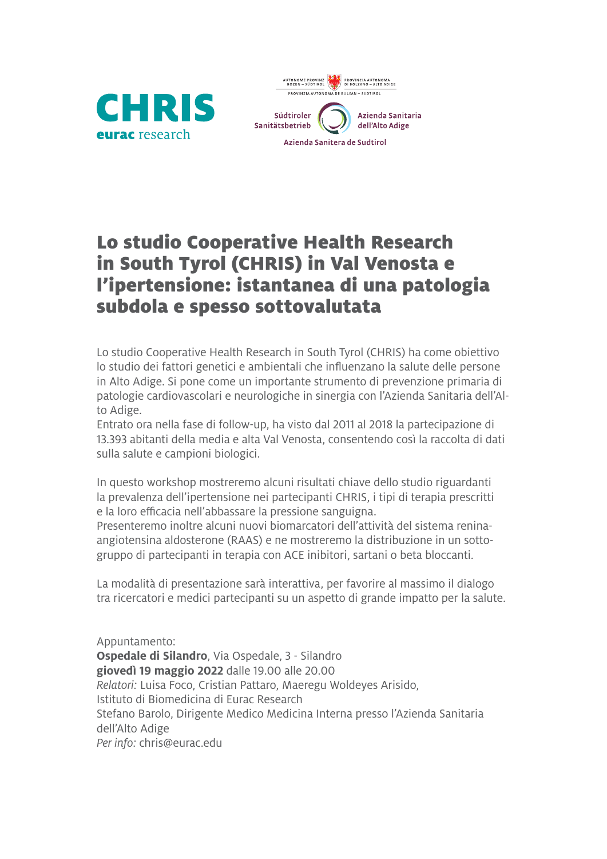



## Lo studio Cooperative Health Research in South Tyrol (CHRIS) in Val Venosta e l'ipertensione: istantanea di una patologia subdola e spesso sottovalutata

Lo studio Cooperative Health Research in South Tyrol (CHRIS) ha come obiettivo lo studio dei fattori genetici e ambientali che influenzano la salute delle persone in Alto Adige. Si pone come un importante strumento di prevenzione primaria di patologie cardiovascolari e neurologiche in sinergia con l'Azienda Sanitaria dell'Alto Adige.

Entrato ora nella fase di follow-up, ha visto dal 2011 al 2018 la partecipazione di 13.393 abitanti della media e alta Val Venosta, consentendo così la raccolta di dati sulla salute e campioni biologici.

In questo workshop mostreremo alcuni risultati chiave dello studio riguardanti la prevalenza dell'ipertensione nei partecipanti CHRIS, i tipi di terapia prescritti e la loro efficacia nell'abbassare la pressione sanguigna.

Presenteremo inoltre alcuni nuovi biomarcatori dell'attività del sistema reninaangiotensina aldosterone (RAAS) e ne mostreremo la distribuzione in un sottogruppo di partecipanti in terapia con ACE inibitori, sartani o beta bloccanti.

La modalità di presentazione sarà interattiva, per favorire al massimo il dialogo tra ricercatori e medici partecipanti su un aspetto di grande impatto per la salute.

Appuntamento: **Ospedale di Silandro**, Via Ospedale, 3 - Silandro **giovedì 19 maggio 2022** dalle 19.00 alle 20.00 *Relatori:* Luisa Foco, Cristian Pattaro, Maeregu Woldeyes Arisido, Istituto di Biomedicina di Eurac Research Stefano Barolo, Dirigente Medico Medicina Interna presso l'Azienda Sanitaria dell'Alto Adige *Per info:* chris@eurac.edu